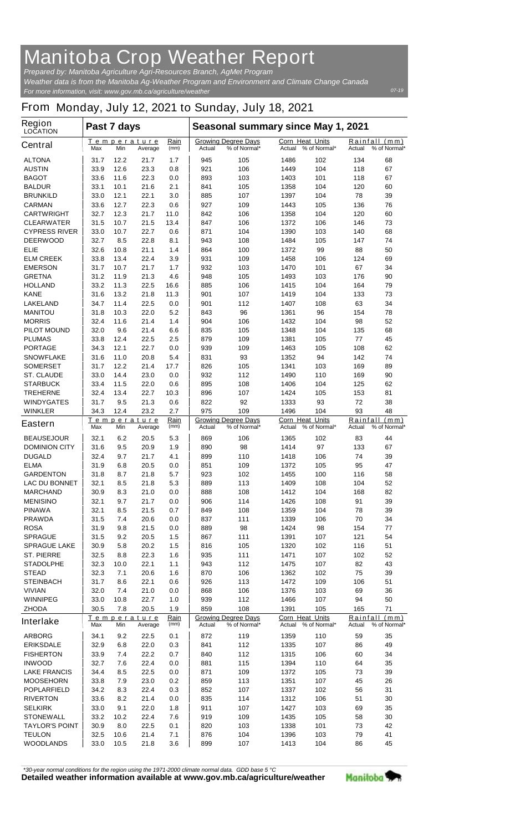## **Manitoba Crop Weather Report**

*For more information, visit: www.gov.mb.ca/agriculture/weather Prepared by: Manitoba Agriculture Agri-Resources Branch, AgMet Program Weather data is from the Manitoba Ag-Weather Program and Environment and Climate Change Canada*

## **From Monday, July 12, 2021 to Sunday, July 18, 2021**

| Region<br><b>LOCATION</b>       | Past 7 days  |              |                                |              | Seasonal summary since May 1, 2021                          |                            |                                               |              |                                            |               |
|---------------------------------|--------------|--------------|--------------------------------|--------------|-------------------------------------------------------------|----------------------------|-----------------------------------------------|--------------|--------------------------------------------|---------------|
| <b>Central</b>                  | Max          | Min          | Temperature<br>Average         | Rain<br>(mm) | <b>Growing Degree Days</b><br>% of Normal*<br><b>Actual</b> |                            | <b>Corn Heat Units</b><br>Actual              | % of Normal* | Rainfall<br>(mm)<br>% of Normal*<br>Actual |               |
| <b>ALTONA</b>                   | 31.7         | 12.2         | 21.7                           | 1.7          | 945                                                         | 105                        | 1486                                          | 102          | 134                                        | 68            |
| <b>AUSTIN</b>                   | 33.9         | 12.6         | 23.3                           | 0.8          | 921                                                         | 106                        | 1449                                          | 104          | 118                                        | 67            |
| <b>BAGOT</b>                    | 33.6         | 11.6         | 22.3                           | 0.0          | 893                                                         | 103                        | 1403                                          | 101          | 118                                        | 67            |
| <b>BALDUR</b>                   | 33.1         | 10.1         | 21.6                           | 2.1          | 841                                                         | 105                        | 1358                                          | 104          | 120                                        | 60            |
| <b>BRUNKILD</b>                 | 33.0         | 12.1         | 22.1                           | 3.0          | 885                                                         | 107                        | 1397                                          | 104          | 78                                         | 39            |
| <b>CARMAN</b>                   | 33.6         | 12.7         | 22.3                           | 0.6          | 927                                                         | 109                        | 1443                                          | 105          | 136                                        | 76            |
| <b>CARTWRIGHT</b>               | 32.7         | 12.3         | 21.7                           | 11.0         | 842                                                         | 106                        | 1358                                          | 104          | 120                                        | 60            |
| <b>CLEARWATER</b>               | 31.5         | 10.7         | 21.5                           | 13.4         | 847                                                         | 106                        | 1372                                          | 106          | 146                                        | 73            |
| <b>CYPRESS RIVER</b>            | 33.0         | 10.7         | 22.7                           | 0.6          | 871                                                         | 104                        | 1390                                          | 103          | 140                                        | 68            |
| <b>DEERWOOD</b>                 | 32.7         | 8.5          | 22.8                           | 8.1          | 943                                                         | 108                        | 1484                                          | 105          | 147                                        | 74            |
| <b>ELIE</b>                     | 32.6         | 10.8         | 21.1                           | 1.4          | 864                                                         | 100                        | 1372                                          | 99           | 88                                         | 50            |
| <b>ELM CREEK</b>                | 33.8         | 13.4         | 22.4                           | 3.9          | 931                                                         | 109                        | 1458                                          | 106          | 124                                        | 69            |
| <b>EMERSON</b>                  | 31.7         | 10.7<br>11.9 | 21.7<br>21.3                   | 1.7          | 932                                                         | 103                        | 1470                                          | 101          | 67                                         | 34<br>90      |
| <b>GRETNA</b><br><b>HOLLAND</b> | 31.2<br>33.2 | 11.3         | 22.5                           | 4.6<br>16.6  | 948<br>885                                                  | 105<br>106                 | 1493<br>1415                                  | 103<br>104   | 176<br>164                                 | 79            |
| <b>KANE</b>                     | 31.6         | 13.2         | 21.8                           | 11.3         | 901                                                         | 107                        | 1419                                          | 104          | 133                                        | 73            |
| <b>LAKELAND</b>                 | 34.7         | 11.4         | 22.5                           | 0.0          | 901                                                         | 112                        | 1407                                          | 108          | 63                                         | 34            |
| <b>MANITOU</b>                  | 31.8         | 10.3         | 22.0                           | 5.2          | 843                                                         | 96                         | 1361                                          | 96           | 154                                        | 78            |
| <b>MORRIS</b>                   | 32.4         | 11.6         | 21.4                           | 1.4          | 904                                                         | 106                        | 1432                                          | 104          | 98                                         | 52            |
| <b>PILOT MOUND</b>              | 32.0         | 9.6          | 21.4                           | 6.6          | 835                                                         | 105                        | 1348                                          | 104          | 135                                        | 68            |
| <b>PLUMAS</b>                   | 33.8         | 12.4         | 22.5                           | 2.5          | 879                                                         | 109                        | 1381                                          | 105          | 77                                         | 45            |
| <b>PORTAGE</b>                  | 34.3         | 12.1         | 22.7                           | 0.0          | 939                                                         | 109                        | 1463                                          | 105          | 108                                        | 62            |
| <b>SNOWFLAKE</b>                | 31.6         | 11.0         | 20.8                           | 5.4          | 831                                                         | 93                         | 1352                                          | 94           | 142                                        | 74            |
| <b>SOMERSET</b>                 | 31.7         | 12.2         | 21.4                           | 17.7         | 826                                                         | 105                        | 1341                                          | 103          | 169                                        | 89            |
| <b>ST. CLAUDE</b>               | 33.0         | 14.4         | 23.0                           | 0.0          | 932                                                         | 112                        | 1490                                          | 110          | 169                                        | 90            |
| <b>STARBUCK</b>                 | 33.4         | 11.5         | 22.0                           | 0.6          | 895                                                         | 108                        | 1406                                          | 104          | 125                                        | 62            |
| <b>TREHERNE</b>                 | 32.4         | 13.4         | 22.7                           | 10.3         | 896                                                         | 107                        | 1424                                          | 105          | 153                                        | 81            |
| <b>WINDYGATES</b>               | 31.7         | 9.5          | 21.3                           | 0.6          | 822                                                         | 92                         | 1333                                          | 93           | 72                                         | 38            |
| <b>WINKLER</b>                  | 34.3         | 12.4         | 23.2                           | 2.7          | 975                                                         | 109                        | 1496                                          | 104          | 93                                         | 48            |
|                                 |              |              | Temperature                    | Rain         |                                                             | <b>Growing Degree Days</b> | <b>Corn Heat Units</b>                        |              |                                            | Rainfall (mm) |
| <b>Eastern</b>                  | Max          | Min          | Average                        | (mm)         | Actual<br>% of Normal*                                      |                            | % of Normal*<br>Actual                        |              | % of Normal*<br>Actual                     |               |
| <b>BEAUSEJOUR</b>               | 32.1         | 6.2          | 20.5                           | 5.3          | 869                                                         | 106                        | 1365                                          | 102          | 83                                         | 44            |
| <b>DOMINION CITY</b>            | 31.6         | 9.5          | 20.9                           | 1.9          | 890                                                         | 98                         | 1414                                          | 97           | 133                                        | 67            |
| <b>DUGALD</b>                   | 32.4         | 9.7          | 21.7                           | 4.1          | 899                                                         | 110                        | 1418                                          | 106          | 74                                         | 39            |
| <b>ELMA</b>                     | 31.9         | 6.8          | 20.5                           | 0.0          | 851                                                         | 109                        | 1372                                          | 105          | 95                                         | 47            |
| <b>GARDENTON</b>                | 31.8         | 8.7          | 21.8                           | 5.7          | 923                                                         | 102                        | 1455                                          | 100          | 116                                        | 58            |
| <b>LAC DU BONNET</b>            | 32.1         | 8.5          | 21.8                           | 5.3          | 889                                                         | 113                        | 1409                                          | 108          | 104                                        | 52            |
| <b>MARCHAND</b>                 | 30.9         | 8.3          | 21.0                           | 0.0          | 888                                                         | 108                        | 1412                                          | 104          | 168                                        | 82            |
| <b>MENISINO</b>                 | 32.1         | 9.7          | 21.7                           | $0.0\,$      | 906                                                         | 114                        | 1426                                          | 108          | 91                                         | 39            |
| <b>PINAWA</b>                   | 32.1         | 8.5          | 21.5                           | 0.7          | 849                                                         | 108                        | 1359                                          | 104          | 78                                         | 39            |
| <b>PRAWDA</b>                   | 31.5         | 7.4          | 20.6                           | 0.0          | 837                                                         | 111                        | 1339                                          | 106          | 70                                         | 34            |
| <b>ROSA</b>                     | 31.9         | 9.8          | 21.5                           | 0.0          | 889                                                         | 98                         | 1424                                          | 98           | 154                                        | 77            |
| <b>SPRAGUE</b>                  | 31.5         | 9.2          | 20.5                           | 1.5          | 867                                                         | 111                        | 1391                                          | 107          | 121                                        | 54            |
| <b>SPRAGUE LAKE</b>             | 30.9         | 5.8          | 20.2                           | 1.5          | 816                                                         | 105                        | 1320                                          | 102          | 116                                        | 51            |
| <b>ST. PIERRE</b>               | 32.5         | 8.8          | 22.3                           | 1.6          | 935                                                         | 111                        | 1471                                          | 107          | 102                                        | 52            |
| <b>STADOLPHE</b>                | 32.3         | 10.0         | 22.1                           | 1.1          | 943                                                         | 112                        | 1475                                          | 107          | 82                                         | 43            |
| <b>STEAD</b>                    | 32.3         | 7.1          | 20.6                           | 1.6          | 870                                                         | 106                        | 1362                                          | 102          | 75                                         | 39            |
| <b>STEINBACH</b>                | 31.7         | 8.6          | 22.1                           | 0.6          | 926                                                         | 113                        | 1472                                          | 109          | 106                                        | 51            |
| <b>VIVIAN</b>                   | 32.0         | 7.4          | 21.0                           | 0.0          | 868                                                         | 106                        | 1376                                          | 103          | 69                                         | 36            |
| <b>WINNIPEG</b>                 | 33.0         | 10.8         | 22.7                           | 1.0          | 939                                                         | 112                        | 1466                                          | 107          | 94                                         | 50            |
| <b>ZHODA</b>                    | 30.5         | 7.8          | 20.5                           | 1.9<br>Rain  | 859                                                         | 108                        | 1391                                          | 105          | 165                                        | 71            |
| <b>Interlake</b>                | Max          | Min          | Temperature<br>(mm)<br>Average |              | <b>Growing Degree Days</b><br>Actual<br>% of Normal*        |                            | <b>Corn Heat Units</b><br>Actual % of Normal* |              | Rainfall<br>(mm)<br>Actual<br>% of Normal* |               |
| <b>ARBORG</b>                   | 34.1         | 9.2          | 22.5                           | 0.1          | 872                                                         | 119                        | 1359                                          | 110          | 59                                         | 35            |
| <b>ERIKSDALE</b>                | 32.9         | 6.8          | 22.0                           | 0.3          | 841                                                         | 112                        | 1335                                          | 107          | 86                                         | 49            |
| <b>FISHERTON</b>                | 33.9         | 7.4          | 22.2                           | 0.7          | 840                                                         | 112                        | 1315                                          | 106          | 60                                         | 34            |
| <b>INWOOD</b>                   | 32.7         | 7.6          | 22.4                           | 0.0          | 881                                                         | 115                        | 1394                                          | 110          | 64                                         | 35            |
| <b>LAKE FRANCIS</b>             | 34.4         | 8.5          | 22.5                           | 0.0          | 871                                                         | 109                        | 1372                                          | 105          | 73                                         | 39            |
| <b>MOOSEHORN</b>                | 33.8         | 7.9          | 23.0                           | 0.2          | 859                                                         | 113                        | 1351                                          | 107          | 45                                         | 26            |
| <b>POPLARFIELD</b>              | 34.2         | 8.3          | 22.4                           | 0.3          | 852                                                         | 107                        | 1337                                          | 102          | 56                                         | 31            |
| <b>RIVERTON</b>                 | 33.6         | 8.2          | 21.4                           | 0.0          | 835                                                         | 114                        | 1312                                          | 106          | 51                                         | 30            |
| <b>SELKIRK</b>                  | 33.0         | 9.1          | 22.0                           | 1.8          | 911                                                         | 107                        | 1427                                          | 103          | 69                                         | 35            |
| <b>STONEWALL</b>                | 33.2         | 10.2         | 22.4                           | 7.6          | 919                                                         | 109                        | 1435                                          | 105          | 58                                         | 30            |
| <b>TAYLOR'S POINT</b>           | 30.9         | 8.0          | 22.5                           | 0.1          | 820                                                         | 103                        | 1338                                          | 101          | 73                                         | 42            |
| <b>TEULON</b>                   | 32.5         | 10.6         | 21.4                           | 7.1          | 876                                                         | 104                        | 1396                                          | 103          | 79                                         | 41            |
| <b>WOODLANDS</b>                | 33.0         | 10.5         | 21.8                           | 3.6          | 899                                                         | 107                        | 1413                                          | 104          | 86                                         | 45            |

*\*30-year normal conditions for the region using the 1971-2000 climate normal data. GDD base 5 °C*<br>Detailed weather information available at www.gov.mb.ca/agriculture/weather